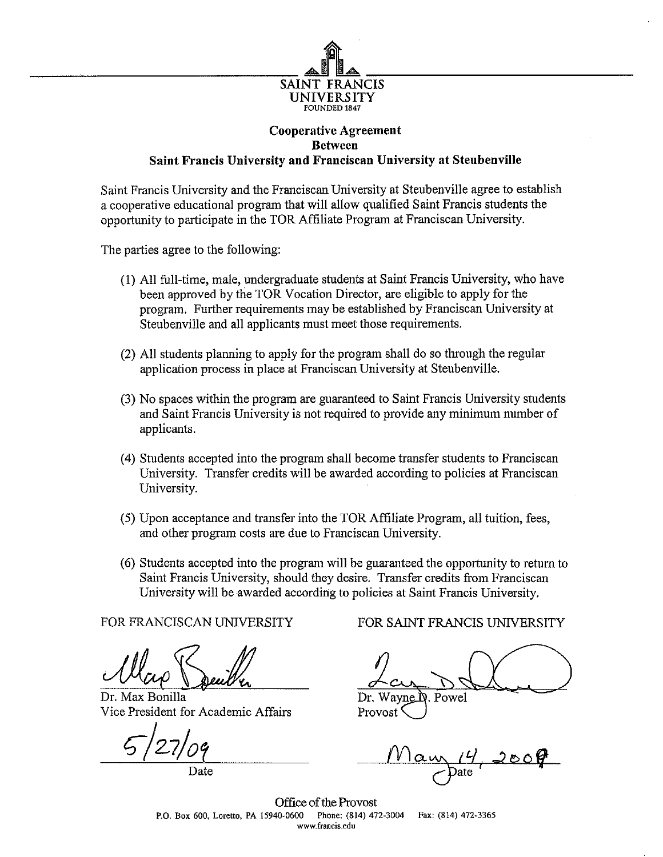

## **Cooperative Agreement Between Saint Francis University and Franciscan University at Steubenville**

Saint Francis University and the Franciscan University at Steubenville agree to establish a cooperative educational program that will allow qualified Saint Francis students the opportunity to participate in the TOR Affiliate Program at Franciscan University.

The parties agree to the following:

- (1) All full-time, male, undergraduate students at Saint Francis University, who have been approved by the TOR Vocation Director, are eligible to apply for the program. Further requirements may be established by Franciscan University at Steubenville and all applicants must meet those requirements.
- (2) All students planning to apply for the program shall do so through the regular application process in place at Franciscan University at Steubenville.
- (3) No spaces within the program are guaranteed to Saint Francis University students and Saint Francis University is not required to provide any minimum number of applicants.
- (4) Students accepted into the program shall become transfer students to Franciscan University. Transfer credits will be awarded according to policies at Franciscan University.
- (5) Upon acceptance and transfer into the TOR Affiliate Program, all tuition, fees, and other program costs are due to Franciscan University.
- (6) Students accepted into the program will be guaranteed the opportunity to return to Saint Francis University, should they desire. Transfer credits from Franciscan University will be awarded according to policies at Saint Francis University.

Dr. Max Bonilla Dr. Wayne D. Powel Vice President for Academic Affairs Provost

FOR FRANCISCAN UNIVERSITY FOR SAINT FRANCIS UNIVERSITY

 $G/27/09$  Maw<sub>1</sub>4,200 **d\*** Date */^* Date

Office of the Provost<br>40-0600 Phone: (814) 472-3004 P.O. Box 600, Loretto, PA 15940-0600 Phone: (814) 472-3004 Fax: (814) 472-3365 www.francis.edu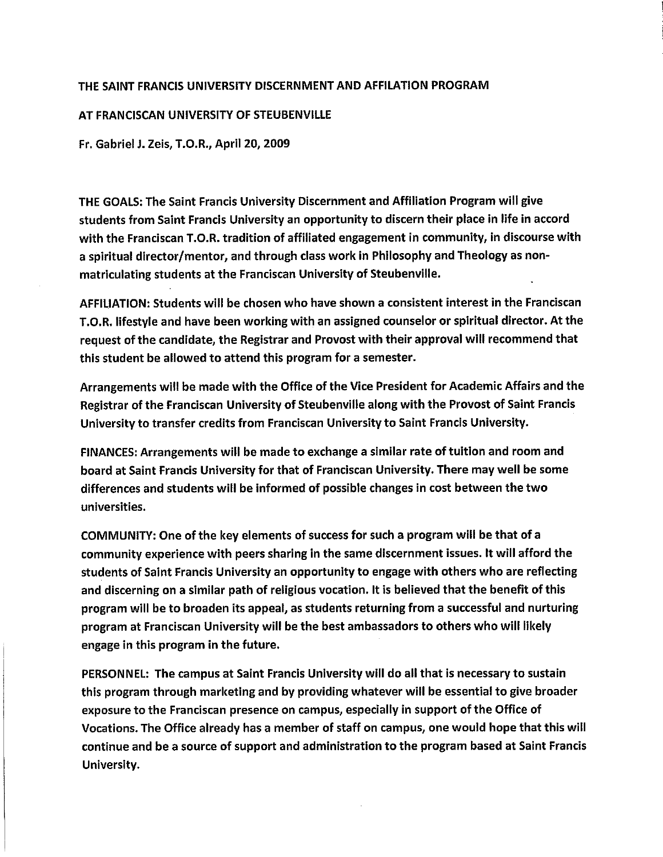## THE SAINT FRANCIS UNIVERSITY DISCERNMENT AND AFFILATION PROGRAM

## AT FRANCISCAN UNIVERSITY OF STEUBENVILLE

Fr. Gabriel J. Zeis, T.O.R., April 20, 2009

THE GOALS: The Saint Francis University Discernment and Affiliation Program will give students from Saint Francis University an opportunity to discern their place in life in accord with the Franciscan T.O.R. tradition of affiliated engagement in community, in discourse with a spiritual director/mentor, and through class work in Philosophy and Theology as nonmatriculating students at the Franciscan University of Steubenville.

AFFILIATION: Students will be chosen who have shown a consistent interest in the Franciscan T.O.R. lifestyle and have been working with an assigned counselor or spiritual director. At the request of the candidate, the Registrar and Provost with their approval will recommend that this student be allowed to attend this program for a semester.

Arrangements will be made with the Office of the Vice President for Academic Affairs and the Registrar of the Franciscan University of Steubenville along with the Provost of Saint Francis University to transfer credits from Franciscan University to Saint Francis University.

FINANCES: Arrangements will be made to exchange a similar rate of tuition and room and board at Saint Francis University for that of Franciscan University. There may well be some differences and students will be informed of possible changes in cost between the two universities.

COMMUNITY: One of the key elements of success for such a program will be that of a community experience with peers sharing in the same discernment issues. It will afford the students of Saint Francis University an opportunity to engage with others who are reflecting and discerning on a similar path of religious vocation. It is believed that the benefit of this program will be to broaden its appeal, as students returning from a successful and nurturing program at Franciscan University will be the best ambassadors to others who will likely engage in this program in the future.

PERSONNEL: The campus at Saint Francis University will do all that is necessary to sustain this program through marketing and by providing whatever will be essential to give broader exposure to the Franciscan presence on campus, especially in support of the Office of Vocations. The Office already has a member of staff on campus, one would hope that this will continue and be a source of support and administration to the program based at Saint Francis University.